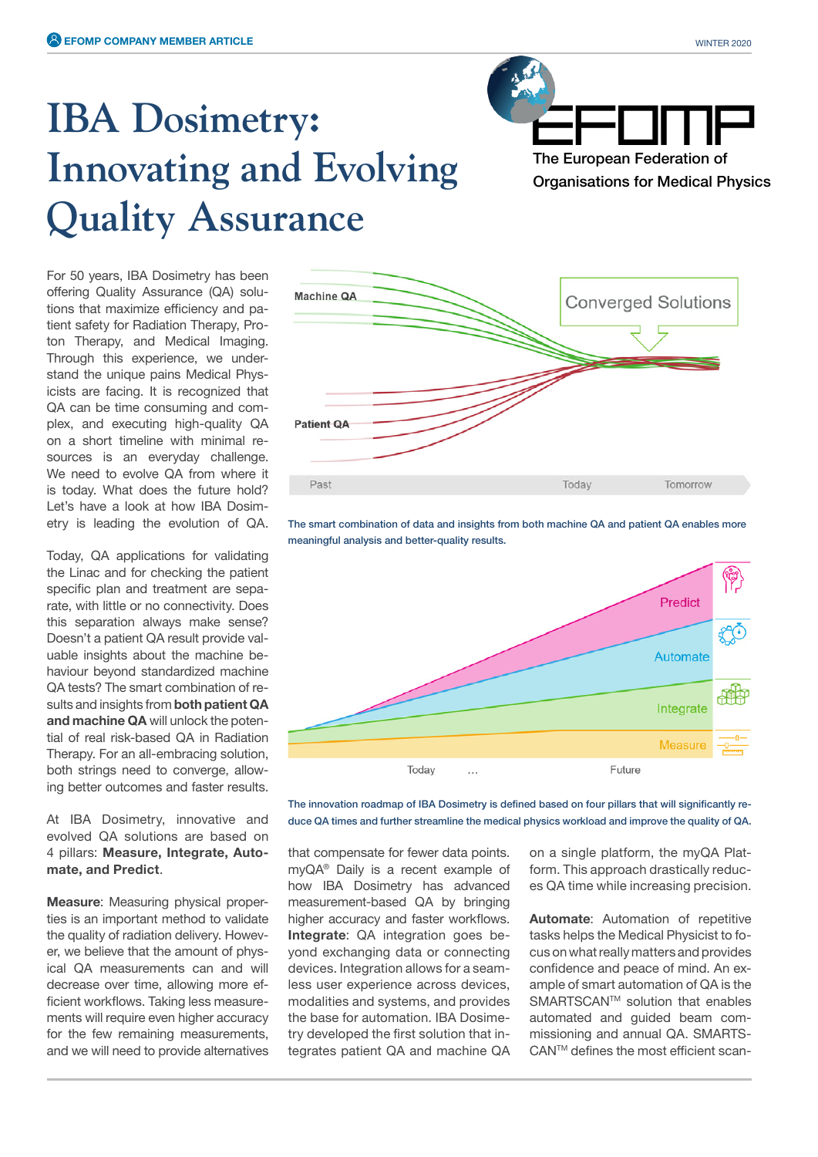## **IBA Dosimetry: Innovating and Evolving Quality Assurance**

The European Federation of Organisations for Medical Physics

For 50 years, IBA Dosimetry has been offering Quality Assurance (QA) solutions that maximize efficiency and patient safety for Radiation Therapy, Proton Therapy, and Medical Imaging. Through this experience, we understand the unique pains Medical Physicists are facing. It is recognized that QA can be time consuming and complex, and executing high-quality QA on a short timeline with minimal resources is an everyday challenge. We need to evolve QA from where it is today. What does the future hold? Let's have a look at how IBA Dosimetry is leading the evolution of QA.

Today, QA applications for validating the Linac and for checking the patient specific plan and treatment are separate, with little or no connectivity. Does this separation always make sense? Doesn't a patient QA result provide valuable insights about the machine behaviour beyond standardized machine QA tests? The smart combination of results and insights from **both patient QA and machine QA** will unlock the potential of real risk-based QA in Radiation Therapy. For an all-embracing solution, both strings need to converge, allowing better outcomes and faster results.

At IBA Dosimetry, innovative and evolved QA solutions are based on 4 pillars: **Measure, Integrate, Automate, and Predict**.

**Measure:** Measuring physical properties is an important method to validate the quality of radiation delivery. However, we believe that the amount of physical QA measurements can and will decrease over time, allowing more efficient workflows. Taking less measurements will require even higher accuracy for the few remaining measurements, and we will need to provide alternatives



The smart combination of data and insights from both machine QA and patient QA enables more meaningful analysis and better-quality results.



The innovation roadmap of IBA Dosimetry is defined based on four pillars that will significantly reduce QA times and further streamline the medical physics workload and improve the quality of QA.

that compensate for fewer data points. myQA® Daily is a recent example of how IBA Dosimetry has advanced measurement-based QA by bringing higher accuracy and faster workflows. **Integrate**: QA integration goes beyond exchanging data or connecting devices. Integration allows for a seamless user experience across devices, modalities and systems, and provides the base for automation. IBA Dosimetry developed the first solution that integrates patient QA and machine QA

on a single platform, the myQA Platform. This approach drastically reduces QA time while increasing precision.

**Automate**: Automation of repetitive tasks helps the Medical Physicist to focus on what really matters and provides confidence and peace of mind. An example of smart automation of QA is the SMARTSCAN<sup>™</sup> solution that enables automated and guided beam commissioning and annual QA. SMARTS-CAN<sup>™</sup> defines the most efficient scan